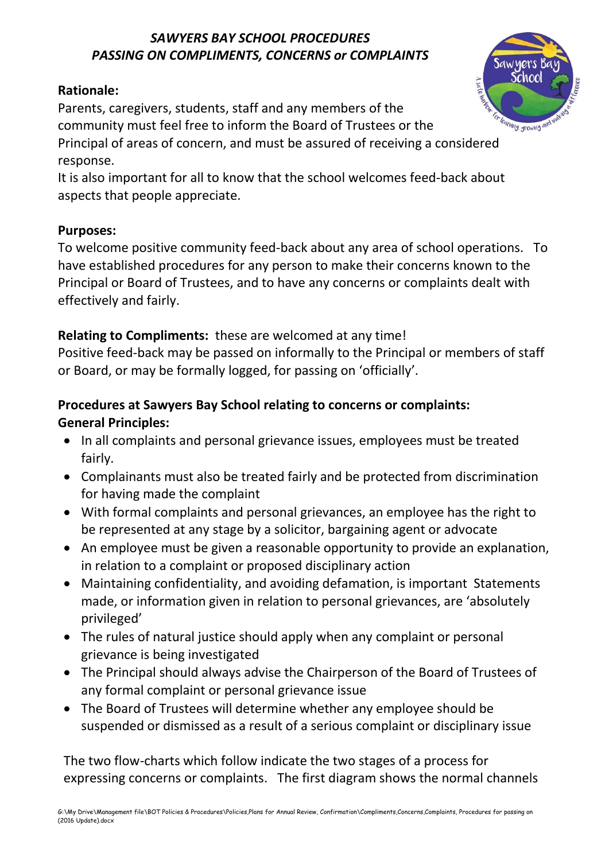#### *SAWYERS BAY SCHOOL PROCEDURES PASSING ON COMPLIMENTS, CONCERNS or COMPLAINTS*

#### **Rationale:**

Parents, caregivers, students, staff and any members of the community must feel free to inform the Board of Trustees or the Principal of areas of concern, and must be assured of receiving a considered response.

It is also important for all to know that the school welcomes feed-back about aspects that people appreciate.

#### **Purposes:**

To welcome positive community feed-back about any area of school operations. To have established procedures for any person to make their concerns known to the Principal or Board of Trustees, and to have any concerns or complaints dealt with effectively and fairly.

## **Relating to Compliments:** these are welcomed at any time!

Positive feed-back may be passed on informally to the Principal or members of staff or Board, or may be formally logged, for passing on 'officially'.

## **Procedures at Sawyers Bay School relating to concerns or complaints: General Principles:**

- In all complaints and personal grievance issues, employees must be treated fairly.
- Complainants must also be treated fairly and be protected from discrimination for having made the complaint
- With formal complaints and personal grievances, an employee has the right to be represented at any stage by a solicitor, bargaining agent or advocate
- An employee must be given a reasonable opportunity to provide an explanation, in relation to a complaint or proposed disciplinary action
- Maintaining confidentiality, and avoiding defamation, is important Statements made, or information given in relation to personal grievances, are 'absolutely privileged'
- The rules of natural justice should apply when any complaint or personal grievance is being investigated
- The Principal should always advise the Chairperson of the Board of Trustees of any formal complaint or personal grievance issue
- The Board of Trustees will determine whether any employee should be suspended or dismissed as a result of a serious complaint or disciplinary issue

The two flow-charts which follow indicate the two stages of a process for expressing concerns or complaints. The first diagram shows the normal channels

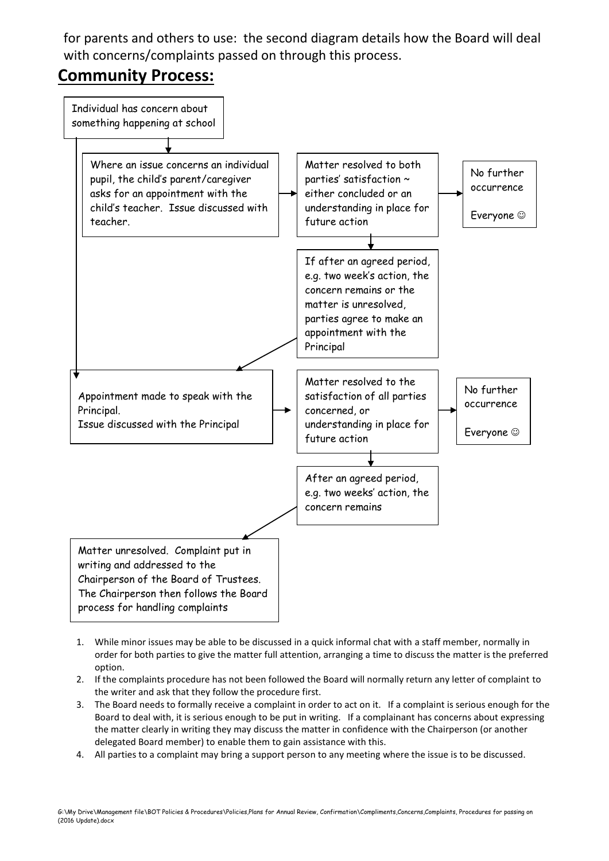for parents and others to use: the second diagram details how the Board will deal with concerns/complaints passed on through this process.

# **Community Process:**



- 1. While minor issues may be able to be discussed in a quick informal chat with a staff member, normally in order for both parties to give the matter full attention, arranging a time to discuss the matter is the preferred option.
- 2. If the complaints procedure has not been followed the Board will normally return any letter of complaint to the writer and ask that they follow the procedure first.
- 3. The Board needs to formally receive a complaint in order to act on it. If a complaint is serious enough for the Board to deal with, it is serious enough to be put in writing. If a complainant has concerns about expressing the matter clearly in writing they may discuss the matter in confidence with the Chairperson (or another delegated Board member) to enable them to gain assistance with this.
- 4. All parties to a complaint may bring a support person to any meeting where the issue is to be discussed.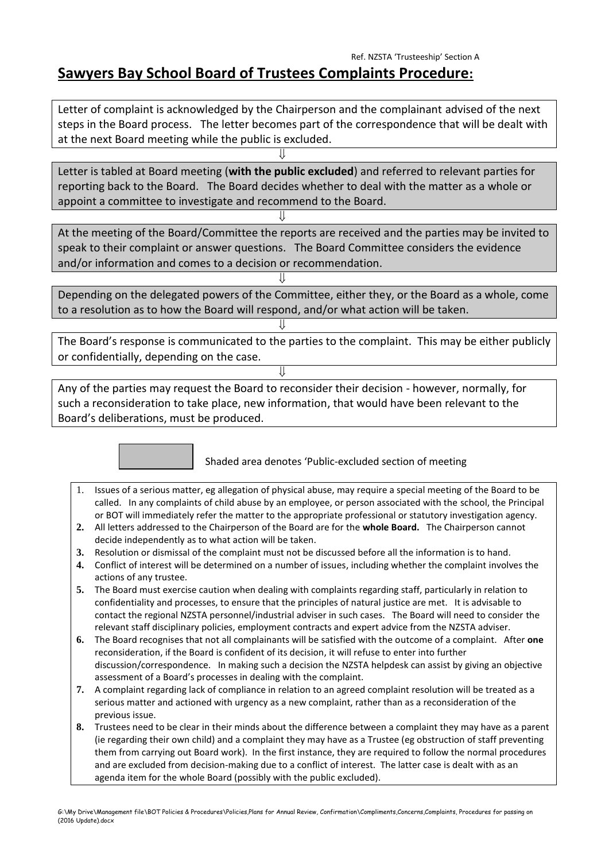## **Sawyers Bay School Board of Trustees Complaints Procedure:**

Letter of complaint is acknowledged by the Chairperson and the complainant advised of the next steps in the Board process. The letter becomes part of the correspondence that will be dealt with at the next Board meeting while the public is excluded.

Letter is tabled at Board meeting (**with the public excluded**) and referred to relevant parties for reporting back to the Board. The Board decides whether to deal with the matter as a whole or appoint a committee to investigate and recommend to the Board.

⇓

⇓

 $\mathbf{H}$ 

 $\mathbf{H}$ 

⇓

At the meeting of the Board/Committee the reports are received and the parties may be invited to speak to their complaint or answer questions. The Board Committee considers the evidence and/or information and comes to a decision or recommendation.

Depending on the delegated powers of the Committee, either they, or the Board as a whole, come to a resolution as to how the Board will respond, and/or what action will be taken.

The Board's response is communicated to the parties to the complaint. This may be either publicly or confidentially, depending on the case.

Any of the parties may request the Board to reconsider their decision - however, normally, for such a reconsideration to take place, new information, that would have been relevant to the Board's deliberations, must be produced.



Shaded area denotes 'Public-excluded section of meeting

- 1. Issues of a serious matter, eg allegation of physical abuse, may require a special meeting of the Board to be called. In any complaints of child abuse by an employee, or person associated with the school, the Principal or BOT will immediately refer the matter to the appropriate professional or statutory investigation agency.
- **2.** All letters addressed to the Chairperson of the Board are for the **whole Board.** The Chairperson cannot decide independently as to what action will be taken.
- **3.** Resolution or dismissal of the complaint must not be discussed before all the information is to hand.
- **4.** Conflict of interest will be determined on a number of issues, including whether the complaint involves the actions of any trustee.
- **5.** The Board must exercise caution when dealing with complaints regarding staff, particularly in relation to confidentiality and processes, to ensure that the principles of natural justice are met. It is advisable to contact the regional NZSTA personnel/industrial adviser in such cases. The Board will need to consider the relevant staff disciplinary policies, employment contracts and expert advice from the NZSTA adviser.
- **6.** The Board recognises that not all complainants will be satisfied with the outcome of a complaint. After **one**  reconsideration, if the Board is confident of its decision, it will refuse to enter into further discussion/correspondence. In making such a decision the NZSTA helpdesk can assist by giving an objective assessment of a Board's processes in dealing with the complaint.
- **7.** A complaint regarding lack of compliance in relation to an agreed complaint resolution will be treated as a serious matter and actioned with urgency as a new complaint, rather than as a reconsideration of the previous issue.
- **8.** Trustees need to be clear in their minds about the difference between a complaint they may have as a parent (ie regarding their own child) and a complaint they may have as a Trustee (eg obstruction of staff preventing them from carrying out Board work). In the first instance, they are required to follow the normal procedures and are excluded from decision-making due to a conflict of interest. The latter case is dealt with as an agenda item for the whole Board (possibly with the public excluded).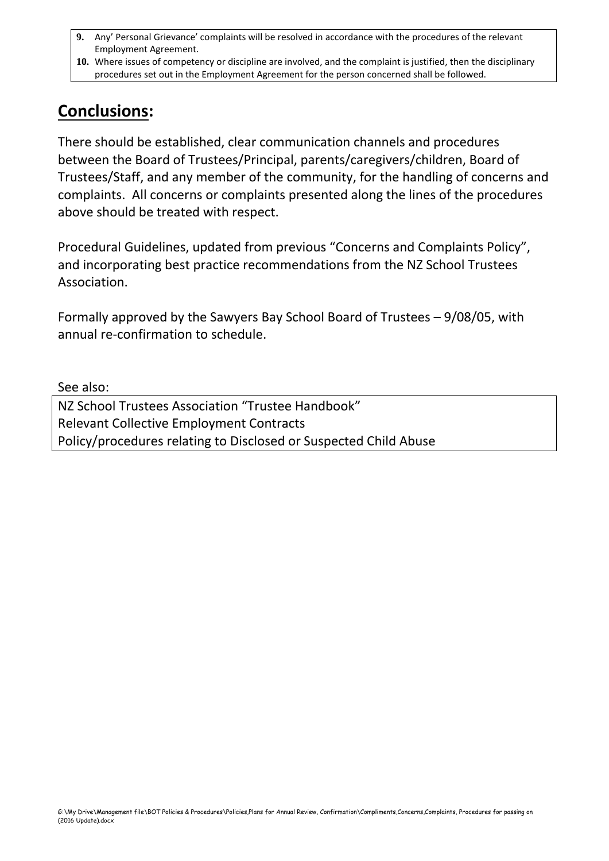- **9.** Any' Personal Grievance' complaints will be resolved in accordance with the procedures of the relevant Employment Agreement.
- **10.** Where issues of competency or discipline are involved, and the complaint is justified, then the disciplinary procedures set out in the Employment Agreement for the person concerned shall be followed.

# **Conclusions:**

There should be established, clear communication channels and procedures between the Board of Trustees/Principal, parents/caregivers/children, Board of Trustees/Staff, and any member of the community, for the handling of concerns and complaints. All concerns or complaints presented along the lines of the procedures above should be treated with respect.

Procedural Guidelines, updated from previous "Concerns and Complaints Policy", and incorporating best practice recommendations from the NZ School Trustees Association.

Formally approved by the Sawyers Bay School Board of Trustees – 9/08/05, with annual re-confirmation to schedule.

See also:

NZ School Trustees Association "Trustee Handbook" Relevant Collective Employment Contracts Policy/procedures relating to Disclosed or Suspected Child Abuse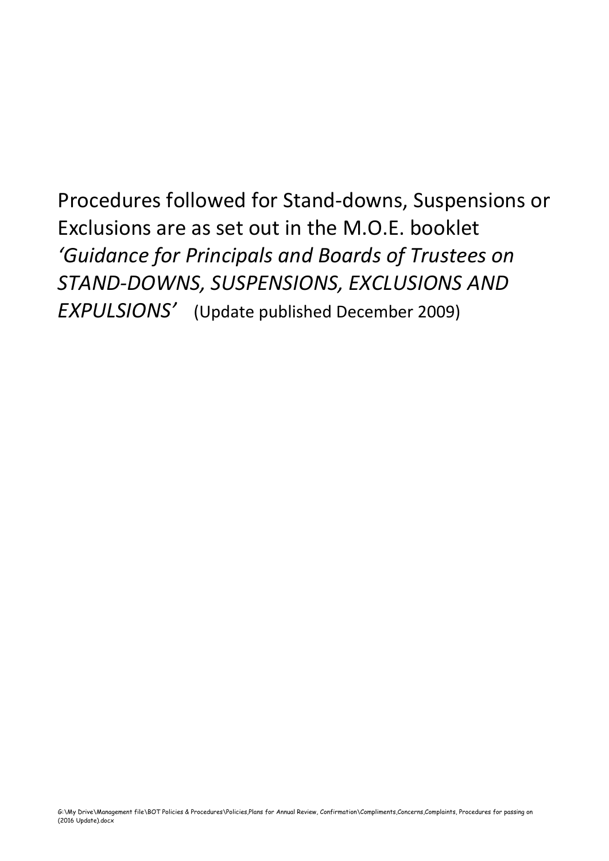Procedures followed for Stand-downs, Suspensions or Exclusions are as set out in the M.O.E. booklet *'Guidance for Principals and Boards of Trustees on STAND-DOWNS, SUSPENSIONS, EXCLUSIONS AND EXPULSIONS'* (Update published December 2009)